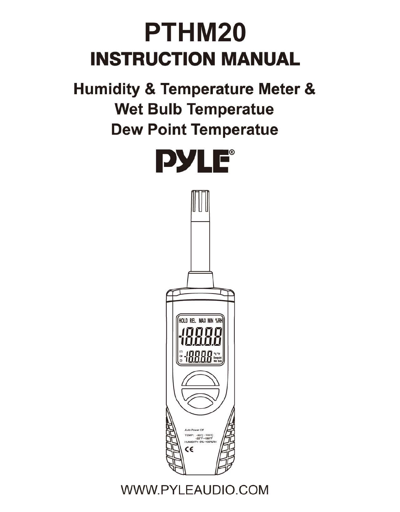# **PTHM20 INSTRUCTION MANUAL**

Humidity & Temperature Meter & Wet Bulb Temperatue Dew Point Temperatue



WWW.PYLEAUDIO.COM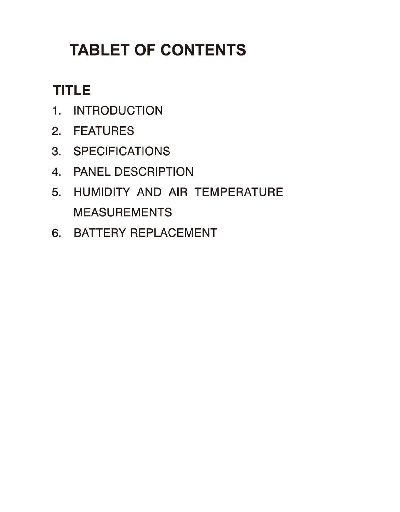# **TABLET OF CONTENTS**

# **TITLE**

- 1. INTRODUCTION
- 2. FEATURES
- 3. SPECIFICATIONS
- 4. PANEL DESCRIPTION
- 5. HUMIDITY AND AIR TEMPERATURE MEASUREMENTS
- 6. BATTERY REPLACEMENT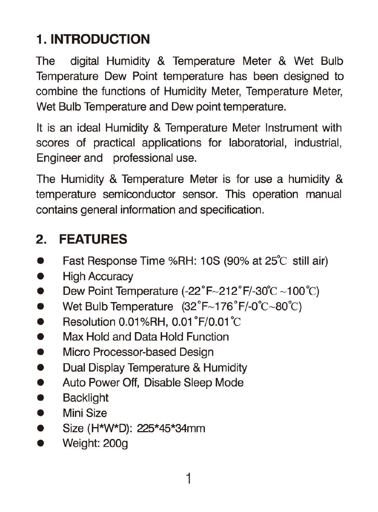# **1. INTRODUCTION**

The digital Humidity & Temperature Meter & Wet Bulb Temperature Dew Point temperature has been designed to combine the functions of Humidity Meter, Temperature Meter, Wet Bulb Temperature and Dew point temperature.

It is an ideal Humidity & Temperature Meter Instrument with scores of practical applications for laboratorial, industrial, Engineer and professional use.

The Humidity & Temperature Meter is for use a humidity & temperature semiconductor sensor. This operation manual contains general information and specification.

### **2. FEATURES**

- Fast Response Time %RH: 10S (90% at 25°C still air)
- High Accuracy
- Dew Point Temperature  $(-22^\circ F~212^\circ F~30^\circ C~100^\circ C)$
- Wet Bulb Temperature  $(32 \degree F \sim 176 \degree F / -0 \degree C \sim 80 \degree C)$
- Resolution 0.01%RH,  $0.01^{\circ}$ F/0.01 $^{\circ}$ C
- Max Hold and Data Hold Function
- Micro Processor-based Design
- Dual Display Temperature & Humidity
- Auto Power Off, Disable Sleep Mode
- Backlight
- Mini Size
- Size (H\*W\*D): 225\*45\*34mm
- Weight: 200g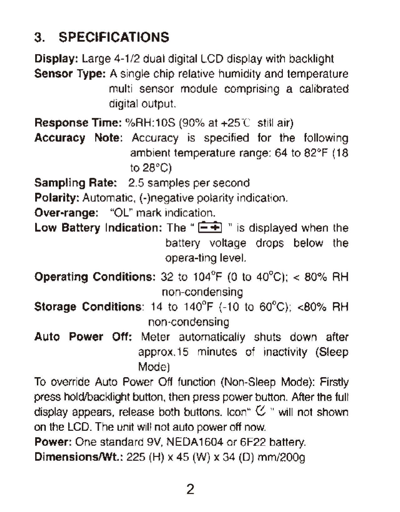#### 3. **SPECIFICATIONS**

Display: Large 4-1/2 dual digital LCD display with backlight Sensor Type: A single chip relative humidity and temperature multi sensor module comprising a calibrated digital output. **Response Time:** %RH:10S (90% at  $+25^\circ$ ) still air) Accuracy Note: Accuracy is specified for the following ambient temperature range: 64 to 82°F (18 to 28°C) Sampling Rate: 2.5 samples per second Polarity: Automatic, (-)negative polarity indication. Over-range: "OL" mark indication. Low Battery Indication: The " $\leftarrow$ " is displayed when the battery voltage drops below the opera-ting level. **Operating Conditions:** 32 to 104 $^{\circ}$ F (0 to 40 $^{\circ}$ C); < 80% RH non-condensing Storage Conditions: 14 to 140°F (-10 to 60"C); <80% RH non-condensing Auto Power Off: Meter automatically shuts down after approx.15 minutes of inactivity (Sleep Mode) To override Auto Power Off function (Non-Sleep Mode): Firstly press hold/backlight button, then press power button. After the full display appears, release both buttons. Icon"  $C$  " will not shown on the LCD. The unit will not auto power off now. Power: One standard 9V, NEDA1604 or 6F22 battery.

Dimensions/Wt.: 225 (H) x 45 (W) x 34 (0) mm/200g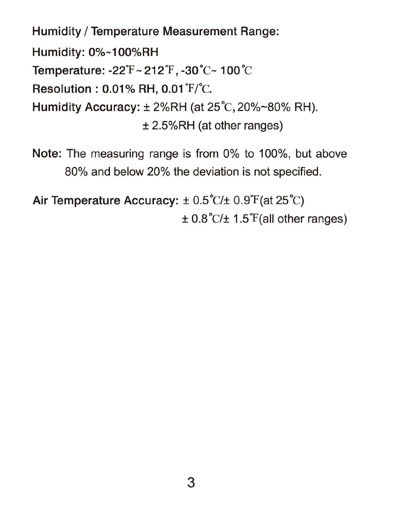Humidity / Temperature Measurement Range: Humidity: 0%-100%RH Temperature: -22°F - 212°F, -30°C- 100°C  $Resolution: 0.01\% RH. 0.01\mathrm{^{T}/^{o}C}.$ Humidity Accuracy: ± 2%RH (at 25°C, 20%-80% RH). ± 2.5%RH (at other ranges)

Note: The measuring range is from 0% to 100%, but above 80% and below 20% the deviation is not specified.

Air Temperature Accuracy:  $\pm$  0.5°C/ $\pm$  0.9°F(at 25°C)  $\pm$  0.8°C/ $\pm$  1.5°F(all other ranges)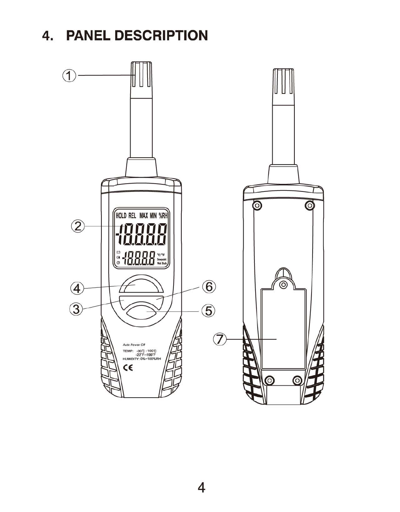#### **4. PANEL DESCRIPTION**

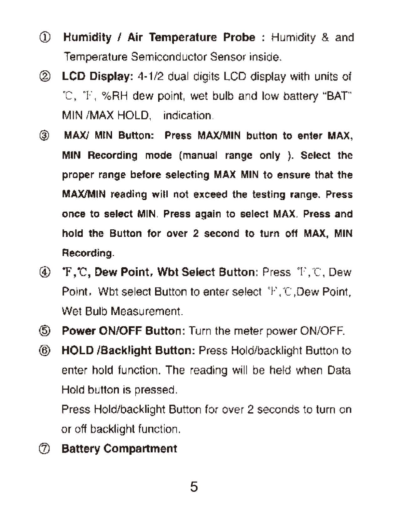- CD Humidity / Air Temperature Probe : Humidity & and Temperature Semiconductor Sensor inside.
- ® LCD Display: 4-1/2 dual digits LCD display with units 01 ·C, T , %RH dew point, wet bulb and low battery "BAT" MIN /MAX HOLD, indication.
- ® MAX} MIN Button: Press MAXIMIN button to enter MAX, MIN Recording mode (manual range only). Select the proper range before selecting MAX MIN to ensure that the MAXIMIN reading will not exceed the testing range. Press once to select MIN. Press again to select MAX. Press and hold the Button for over 2 second to turn off MAX, MIN Recording.
- **(4) F, C, Dew Point, Wbt Select Button: Press T, C, Dew** Point, Wbt select Button 10 enter select 'F, 'C ,Dew Point, Wet Bulb Measurement.
- @ Power ON/OFF Button: Turn the meter power ON/OFF.
- @ HOLD IBacklight Button: Press Holdlbacklighl Button to enter hold function. The reading will be held when Data Hold button is pressed.

Press Hold/backlight Button for over 2 seconds to turn on or off backlight function.

(J) Battery Compartment